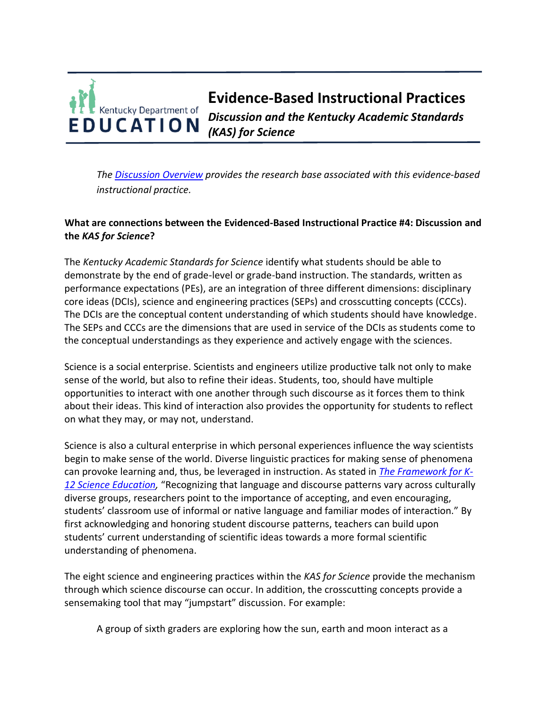## **Evidence-Based Instructional Practices**  Kentucky Department of *Discussion and the Kentucky Academic Standards*  **EDUCATION** *(KAS) for Science*

*The [Discussion Overview](https://education.ky.gov/curriculum/standards/kyacadstand/Documents/EBIP_4_Discussion.pdf) provides the research base associated with this evidence-based instructional practice.*

## **What are connections between the Evidenced-Based Instructional Practice #4: Discussion and the** *KAS for Science***?**

The *Kentucky Academic Standards for Science* identify what students should be able to demonstrate by the end of grade-level or grade-band instruction. The standards, written as performance expectations (PEs), are an integration of three different dimensions: disciplinary core ideas (DCIs), science and engineering practices (SEPs) and crosscutting concepts (CCCs). The DCIs are the conceptual content understanding of which students should have knowledge. The SEPs and CCCs are the dimensions that are used in service of the DCIs as students come to the conceptual understandings as they experience and actively engage with the sciences.

Science is a social enterprise. Scientists and engineers utilize productive talk not only to make sense of the world, but also to refine their ideas. Students, too, should have multiple opportunities to interact with one another through such discourse as it forces them to think about their ideas. This kind of interaction also provides the opportunity for students to reflect on what they may, or may not, understand.

Science is also a cultural enterprise in which personal experiences influence the way scientists begin to make sense of the world. Diverse linguistic practices for making sense of phenomena can provoke learning and, thus, be leveraged in instruction. As stated in *[The Framework for K-](https://www.nap.edu/read/13165/chapter/16#285)[12 Science Education,](https://www.nap.edu/read/13165/chapter/16#285)* "Recognizing that language and discourse patterns vary across culturally diverse groups, researchers point to the importance of accepting, and even encouraging, students' classroom use of informal or native language and familiar modes of interaction." By first acknowledging and honoring student discourse patterns, teachers can build upon students' current understanding of scientific ideas towards a more formal scientific understanding of phenomena.

The eight science and engineering practices within the *KAS for Science* provide the mechanism through which science discourse can occur. In addition, the crosscutting concepts provide a sensemaking tool that may "jumpstart" discussion. For example:

A group of sixth graders are exploring how the sun, earth and moon interact as a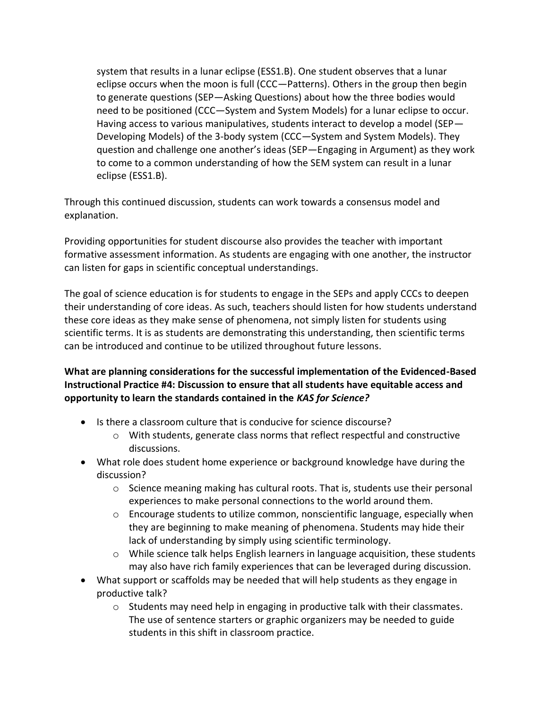system that results in a lunar eclipse (ESS1.B). One student observes that a lunar eclipse occurs when the moon is full (CCC—Patterns). Others in the group then begin to generate questions (SEP—Asking Questions) about how the three bodies would need to be positioned (CCC—System and System Models) for a lunar eclipse to occur. Having access to various manipulatives, students interact to develop a model (SEP— Developing Models) of the 3-body system (CCC—System and System Models). They question and challenge one another's ideas (SEP—Engaging in Argument) as they work to come to a common understanding of how the SEM system can result in a lunar eclipse (ESS1.B).

Through this continued discussion, students can work towards a consensus model and explanation.

Providing opportunities for student discourse also provides the teacher with important formative assessment information. As students are engaging with one another, the instructor can listen for gaps in scientific conceptual understandings.

The goal of science education is for students to engage in the SEPs and apply CCCs to deepen their understanding of core ideas. As such, teachers should listen for how students understand these core ideas as they make sense of phenomena, not simply listen for students using scientific terms. It is as students are demonstrating this understanding, then scientific terms can be introduced and continue to be utilized throughout future lessons.

**What are planning considerations for the successful implementation of the Evidenced-Based Instructional Practice #4: Discussion to ensure that all students have equitable access and opportunity to learn the standards contained in the** *KAS for Science?*

- Is there a classroom culture that is conducive for science discourse?
	- $\circ$  With students, generate class norms that reflect respectful and constructive discussions.
- What role does student home experience or background knowledge have during the discussion?
	- $\circ$  Science meaning making has cultural roots. That is, students use their personal experiences to make personal connections to the world around them.
	- $\circ$  Encourage students to utilize common, nonscientific language, especially when they are beginning to make meaning of phenomena. Students may hide their lack of understanding by simply using scientific terminology.
	- $\circ$  While science talk helps English learners in language acquisition, these students may also have rich family experiences that can be leveraged during discussion.
- What support or scaffolds may be needed that will help students as they engage in productive talk?
	- $\circ$  Students may need help in engaging in productive talk with their classmates. The use of sentence starters or graphic organizers may be needed to guide students in this shift in classroom practice.